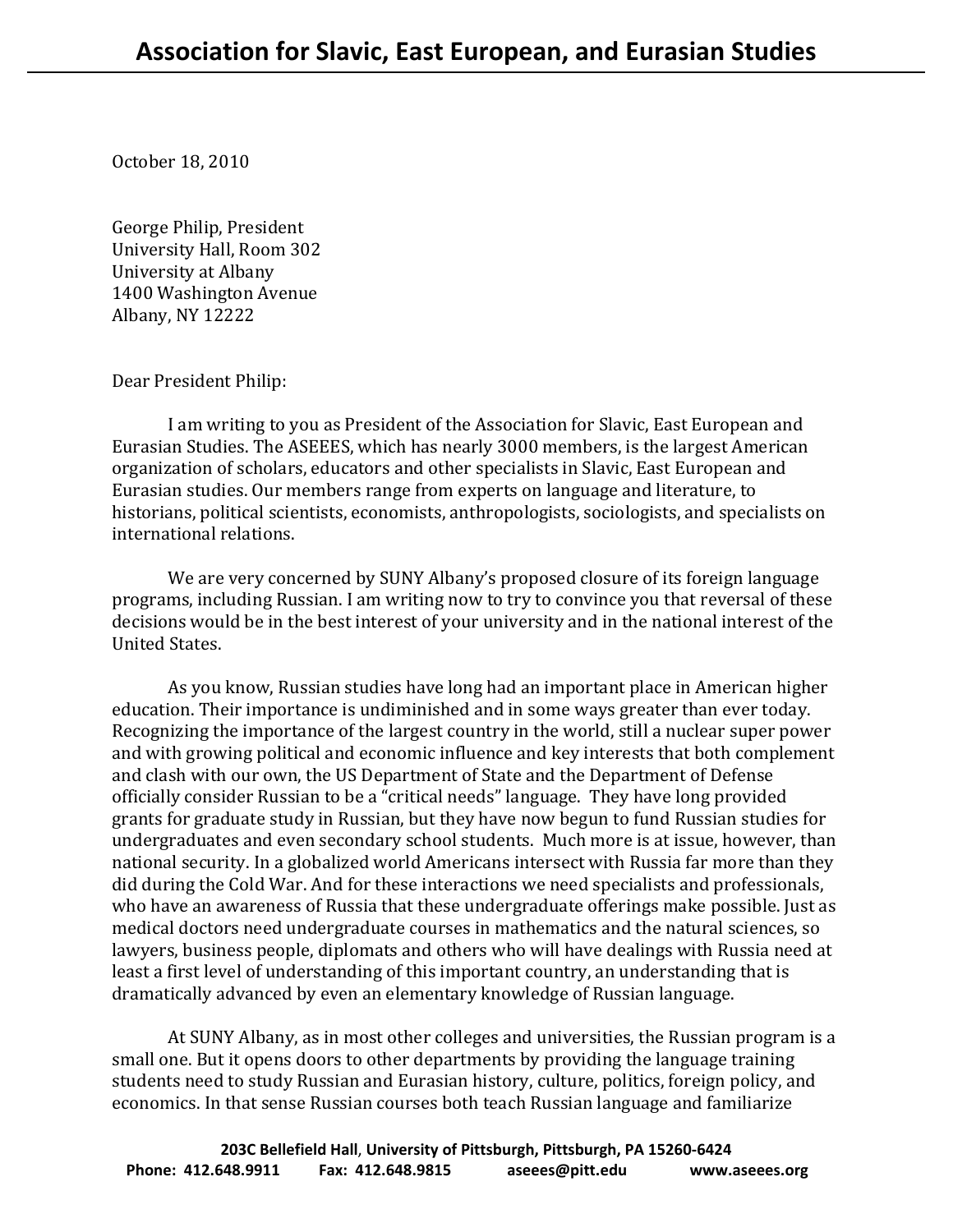October 18, 2010

George Philip, President University Hall, Room 302 University at Albany 1400 Washington Avenue Albany, NY 12222

Dear President Philip:

 I am writing to you as President of the Association for Slavic, East European and Eurasian Studies. The ASEEES, which has nearly 3000 members, is the largest American organization of scholars, educators and other specialists in Slavic, East European and Eurasian studies. Our members range from experts on language and literature, to historians, political scientists, economists, anthropologists, sociologists, and specialists on international relations.

 We are very concerned by SUNY Albany's proposed closure of its foreign language programs, including Russian. I am writing now to try to convince you that reversal of these decisions would be in the best interest of your university and in the national interest of the United States.

 As you know, Russian studies have long had an important place in American higher education. Their importance is undiminished and in some ways greater than ever today. Recognizing the importance of the largest country in the world, still a nuclear super power and with growing political and economic influence and key interests that both complement and clash with our own, the US Department of State and the Department of Defense officially consider Russian to be a "critical needs" language. They have long provided grants for graduate study in Russian, but they have now begun to fund Russian studies for undergraduates and even secondary school students. Much more is at issue, however, than national security. In a globalized world Americans intersect with Russia far more than they did during the Cold War. And for these interactions we need specialists and professionals, who have an awareness of Russia that these undergraduate offerings make possible. Just as medical doctors need undergraduate courses in mathematics and the natural sciences, so lawyers, business people, diplomats and others who will have dealings with Russia need at least a first level of understanding of this important country, an understanding that is dramatically advanced by even an elementary knowledge of Russian language.

 At SUNY Albany, as in most other colleges and universities, the Russian program is a small one. But it opens doors to other departments by providing the language training students need to study Russian and Eurasian history, culture, politics, foreign policy, and economics. In that sense Russian courses both teach Russian language and familiarize